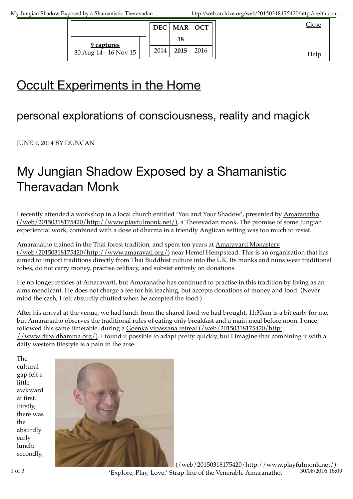|                                       |      | DEC   MAR   OCT |      | <u>lose</u> |
|---------------------------------------|------|-----------------|------|-------------|
| 9 captures<br>$30$ Aug 14 - 16 Nov 15 |      | 18              |      |             |
|                                       | 2014 | 2015            | 2016 |             |

# **Occult Experiments in the Home**

## personal explorations of consciousness, reality and magick

### JUNE 9, 2014 BY DUNCAN

## My Jungian Shadow Exposed by a Shamanistic Theravadan Monk

I recently attended a workshop in a local church entitled 'You and Your Shadow', presented by Amaranatho (/web/20150318175420/http://www.playfulmonk.net/), a Therevadan monk. The promise of some Jungian experiential work, combined with a dose of dharma in a friendly Anglican setting was too much to resist.

Amaranatho trained in the Thai forest tradition, and spent ten years at Amaravarti Monastery (/web/20150318175420/http://www.amaravati.org/) near Hemel Hempstead. This is an organisation that has aimed to import traditions directly from Thai Buddhist culture into the UK. Its monks and nuns wear traditional robes, do not carry money, practise celibacy, and subsist entirely on donations.

He no longer resides at Amaravarti, but Amaranatho has continued to practise in this tradition by living as an alms mendicant. He does not charge a fee for his teaching, but accepts donations of money and food. (Never mind the cash, I felt absurdly chuffed when he accepted the food.)

After his arrival at the venue, we had lunch from the shared food we had brought. 11:30am is a bit early for me, but Amaranatho observes the traditional rules of eating only breakfast and a main meal before noon. I once followed this same timetable, during a Goenka vipassana retreat (/web/20150318175420/http: //www.dipa.dhamma.org/). I found it possible to adapt pretty quickly, but I imagine that combining it with a daily western lifestyle is a pain in the arse.

The cultural gap felt a little awkward at first. Firstly, there was the absurdly early lunch; secondly,

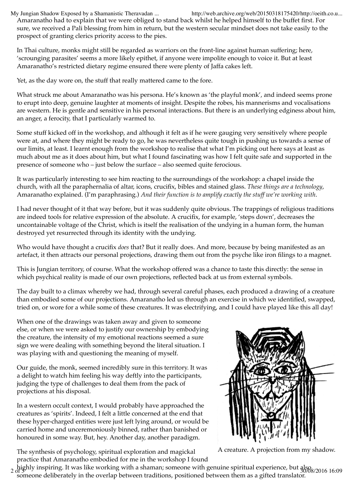Amaranatho had to explain that we were obliged to stand back whilst he helped himself to the buffet first. For sure, we received a Pali blessing from him in return, but the western secular mindset does not take easily to the prospect of granting clerics priority access to the pies. My Jungian Shadow Exposed by a Shamanistic Theravadan ... http://web.archive.org/web/20150318175420/http://oeith.co.u...

In Thai culture, monks might still be regarded as warriors on the front-line against human suffering; here, 'scrounging parasites' seems a more likely epithet, if anyone were impolite enough to voice it. But at least Amaranatho's restricted dietary regime ensured there were plenty of Jaffa cakes left.

Yet, as the day wore on, the stuff that really mattered came to the fore.

What struck me about Amaranatho was his persona. He's known as 'the playful monk', and indeed seems prone to erupt into deep, genuine laughter at moments of insight. Despite the robes, his mannerisms and vocalisations are western. He is gentle and sensitive in his personal interactions. But there is an underlying edginess about him, an anger, a ferocity, that I particularly warmed to.

Some stuff kicked off in the workshop, and although it felt as if he were gauging very sensitively where people were at, and where they might be ready to go, he was nevertheless quite tough in pushing us towards a sense of our limits, at least. I learnt enough from the workshop to realise that what I'm picking out here says at least as much about me as it does about him, but what I found fascinating was how I felt quite safe and supported in the presence of someone who – just below the surface – also seemed quite ferocious.

It was particularly interesting to see him reacting to the surroundings of the workshop: a chapel inside the church, with all the paraphernalia of altar, icons, crucifix, bibles and stained glass. *These things are a technology*, Amaranatho explained. (I'm paraphrasing.) *And their function is to amplify exactly the stuff we're working with*.

I had never thought of it that way before, but it was suddenly quite obvious. The trappings of religious traditions are indeed tools for relative expression of the absolute. A crucifix, for example, 'steps down', decreases the uncontainable voltage of the Christ, which is itself the realisation of the undying in a human form, the human destroyed yet resurrected through its identity with the undying.

Who would have thought a crucifix *does* that? But it really does. And more, because by being manifested as an artefact, it then attracts our personal projections, drawing them out from the psyche like iron filings to a magnet.

This is Jungian territory, of course. What the workshop offered was a chance to taste this directly: the sense in which psychical reality is made of our own projections, reflected back at us from external symbols.

The day built to a climax whereby we had, through several careful phases, each produced a drawing of a creature than embodied some of our projections. Amaranatho led us through an exercise in which we identified, swapped, tried on, or wore for a while some of these creatures. It was electrifying, and I could have played like this all day!

When one of the drawings was taken away and given to someone else, or when we were asked to justify our ownership by embodying the creature, the intensity of my emotional reactions seemed a sure sign we were dealing with something beyond the literal situation. I was playing with and questioning the meaning of myself.

Our guide, the monk, seemed incredibly sure in this territory. It was a delight to watch him feeling his way deftly into the participants, judging the type of challenges to deal them from the pack of projections at his disposal.

In a western occult context, I would probably have approached the creatures as 'spirits'. Indeed, I felt a little concerned at the end that these hyper-charged entities were just left lying around, or would be carried home and unceremoniously binned, rather than banished or honoured in some way. But, hey. Another day, another paradigm.

The synthesis of psychology, spiritual exploration and magickal practice that Amaranatho embodied for me in the workshop I found



A creature. A projection from my shadow.

 $_2$  highly inspiring. It was like working with a shaman; someone with genuine spiritual experience, but als $_{30/88/2016\ 16:09}$ someone deliberately in the overlap between traditions, positioned between them as a gifted translator.